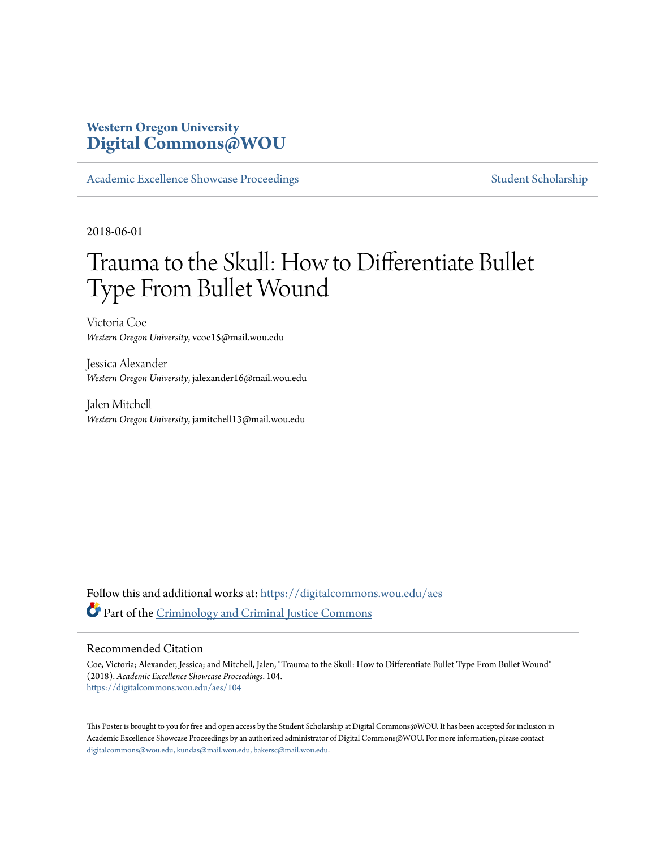### **Western Oregon University [Digital Commons@WOU](https://digitalcommons.wou.edu?utm_source=digitalcommons.wou.edu%2Faes%2F104&utm_medium=PDF&utm_campaign=PDFCoverPages)**

[Academic Excellence Showcase Proceedings](https://digitalcommons.wou.edu/aes?utm_source=digitalcommons.wou.edu%2Faes%2F104&utm_medium=PDF&utm_campaign=PDFCoverPages) [Student Scholarship](https://digitalcommons.wou.edu/student_scholarship?utm_source=digitalcommons.wou.edu%2Faes%2F104&utm_medium=PDF&utm_campaign=PDFCoverPages)

2018-06-01

### Trauma to the Skull: How to Differentiate Bullet Type From Bullet Wound

Victoria Coe *Western Oregon University*, vcoe15@mail.wou.edu

Jessica Alexander *Western Oregon University*, jalexander16@mail.wou.edu

Jalen Mitchell *Western Oregon University*, jamitchell13@mail.wou.edu

Follow this and additional works at: [https://digitalcommons.wou.edu/aes](https://digitalcommons.wou.edu/aes?utm_source=digitalcommons.wou.edu%2Faes%2F104&utm_medium=PDF&utm_campaign=PDFCoverPages) Part of the [Criminology and Criminal Justice Commons](http://network.bepress.com/hgg/discipline/367?utm_source=digitalcommons.wou.edu%2Faes%2F104&utm_medium=PDF&utm_campaign=PDFCoverPages)

### Recommended Citation

Coe, Victoria; Alexander, Jessica; and Mitchell, Jalen, "Trauma to the Skull: How to Differentiate Bullet Type From Bullet Wound" (2018). *Academic Excellence Showcase Proceedings*. 104. [https://digitalcommons.wou.edu/aes/104](https://digitalcommons.wou.edu/aes/104?utm_source=digitalcommons.wou.edu%2Faes%2F104&utm_medium=PDF&utm_campaign=PDFCoverPages)

This Poster is brought to you for free and open access by the Student Scholarship at Digital Commons@WOU. It has been accepted for inclusion in Academic Excellence Showcase Proceedings by an authorized administrator of Digital Commons@WOU. For more information, please contact [digitalcommons@wou.edu, kundas@mail.wou.edu, bakersc@mail.wou.edu](mailto:digitalcommons@wou.edu,%20kundas@mail.wou.edu,%20bakersc@mail.wou.edu).